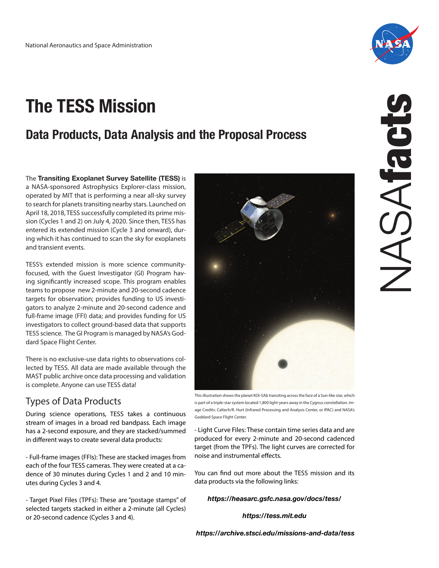# **The TESS Mission**

## **Data Products, Data Analysis and the Proposal Process**

The **Transiting Exoplanet Survey Satellite (TESS)** is a NASA-sponsored Astrophysics Explorer-class mission, operated by MIT that is performing a near all-sky survey to search for planets transiting nearby stars. Launched on April 18, 2018, TESS successfully completed its prime mission (Cycles 1 and 2) on July 4, 2020. Since then, TESS has entered its extended mission (Cycle 3 and onward), during which it has continued to scan the sky for exoplanets and transient events.

TESS's extended mission is more science communityfocused, with the Guest Investigator (GI) Program having significantly increased scope. This program enables teams to propose new 2-minute and 20-second cadence targets for observation; provides funding to US investigators to analyze 2-minute and 20-second cadence and full-frame image (FFI) data; and provides funding for US investigators to collect ground-based data that supports TESS science. The GI Program is managed by NASA's Goddard Space Flight Center.

There is no exclusive-use data rights to observations collected by TESS. All data are made available through the MAST public archive once data processing and validation is complete. Anyone can use TESS data!

## Types of Data Products

During science operations, TESS takes a continuous stream of images in a broad red bandpass. Each image has a 2-second exposure, and they are stacked/summed in different ways to create several data products:

- Full-frame images (FFIs): These are stacked images from each of the four TESS cameras. They were created at a cadence of 30 minutes during Cycles 1 and 2 and 10 minutes during Cycles 3 and 4.

- Target Pixel Files (TPFs): These are "postage stamps" of selected targets stacked in either a 2-minute (all Cycles) or 20-second cadence (Cycles 3 and 4).

This illustration shows the planet KOI-5Ab transiting across the face of a Sun-like star, which is part of a triple-star system located 1,800 light-years away in the Cygnus constellation. Image Credits: Caltech/R. Hurt (Infrared Processing and Analysis Center, or IPAC) and NASA's

- Light Curve Files: These contain time series data and are produced for every 2-minute and 20-second cadenced target (from the TPFs). The light curves are corrected for noise and instrumental effects.

Goddard Space Flight Center.

You can find out more about the TESS mission and its data products via the following links:

#### *https://heasarc.gsfc.nasa.gov/docs/tess/*

*https://tess.mit.edu*





NASAfacts VASAfact